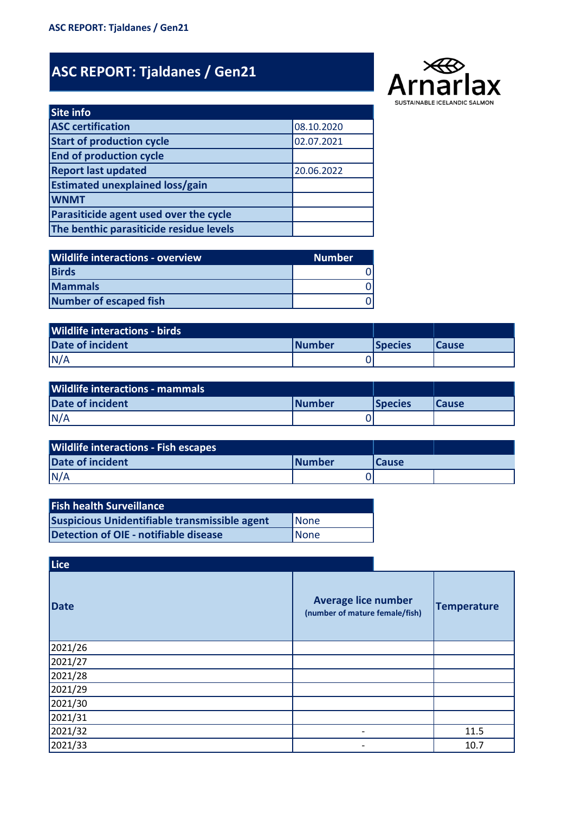## **ASC REPORT: Tjaldanes / Gen21**



| <b>Site info</b>                        |            |
|-----------------------------------------|------------|
| <b>ASC certification</b>                | 08.10.2020 |
| <b>Start of production cycle</b>        | 02.07.2021 |
| <b>End of production cycle</b>          |            |
| <b>Report last updated</b>              | 20.06.2022 |
| <b>Estimated unexplained loss/gain</b>  |            |
| <b>WNMT</b>                             |            |
| Parasiticide agent used over the cycle  |            |
| The benthic parasiticide residue levels |            |

| <b>Wildlife interactions - overview</b> | <b>Number</b> |
|-----------------------------------------|---------------|
| <b>Birds</b>                            |               |
| <b>Mammals</b>                          |               |
| Number of escaped fish                  |               |

| <b>Wildlife interactions - birds</b> |                |                 |              |
|--------------------------------------|----------------|-----------------|--------------|
| <b>Date of incident</b>              | <b>INumber</b> | <b>ISpecies</b> | <b>Cause</b> |
| N/A                                  |                |                 |              |

| <b>Wildlife interactions - mammals</b> |                |                 |               |
|----------------------------------------|----------------|-----------------|---------------|
| <b>Date of incident</b>                | <b>INumber</b> | <b>ISpecies</b> | <b>ICause</b> |
| N/A                                    |                |                 |               |

| <b>Wildlife interactions - Fish escapes</b> |                |               |  |
|---------------------------------------------|----------------|---------------|--|
| <b>Date of incident</b>                     | <b>INumber</b> | <b>ICause</b> |  |
| N/A                                         |                |               |  |

| <b>Fish health Surveillance</b>                      |             |
|------------------------------------------------------|-------------|
| <b>Suspicious Unidentifiable transmissible agent</b> | <b>None</b> |
| Detection of OIE - notifiable disease                | None        |

| Lice    |                                                              |                    |
|---------|--------------------------------------------------------------|--------------------|
| Date    | <b>Average lice number</b><br>(number of mature female/fish) | <b>Temperature</b> |
| 2021/26 |                                                              |                    |
| 2021/27 |                                                              |                    |
| 2021/28 |                                                              |                    |
| 2021/29 |                                                              |                    |
| 2021/30 |                                                              |                    |
| 2021/31 |                                                              |                    |
| 2021/32 | $\overline{\phantom{a}}$                                     | 11.5               |
| 2021/33 | -                                                            | 10.7               |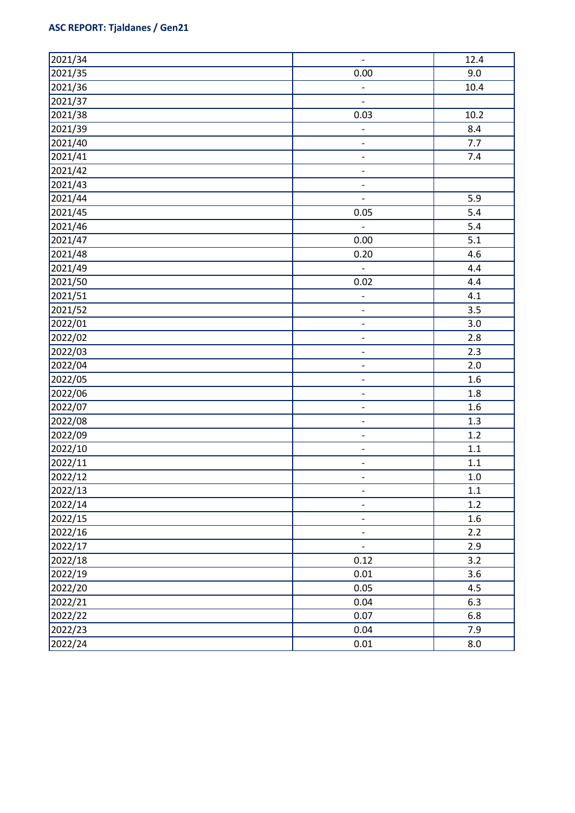## **ASC REPORT: Tjaldanes / Gen21**

| 2021/34 | $\overline{\phantom{a}}$     | 12.4             |
|---------|------------------------------|------------------|
| 2021/35 | 0.00                         | 9.0              |
| 2021/36 | $\overline{\phantom{a}}$     | 10.4             |
| 2021/37 | $\frac{1}{2}$                |                  |
| 2021/38 | 0.03                         | 10.2             |
| 2021/39 | $\qquad \qquad \blacksquare$ | 8.4              |
| 2021/40 | $\qquad \qquad \blacksquare$ | 7.7              |
| 2021/41 | $\overline{\phantom{a}}$     | 7.4              |
| 2021/42 | $\qquad \qquad \blacksquare$ |                  |
| 2021/43 | $\overline{\phantom{0}}$     |                  |
| 2021/44 | $\blacksquare$               | 5.9              |
| 2021/45 | 0.05                         | 5.4              |
| 2021/46 | $\overline{\phantom{a}}$     | 5.4              |
| 2021/47 | 0.00                         | 5.1              |
| 2021/48 | 0.20                         | 4.6              |
| 2021/49 | $\overline{\phantom{a}}$     | 4.4              |
| 2021/50 | 0.02                         | 4.4              |
| 2021/51 | $\qquad \qquad \blacksquare$ | 4.1              |
| 2021/52 | $\overline{\phantom{a}}$     | 3.5              |
| 2022/01 | $\qquad \qquad \blacksquare$ | 3.0              |
| 2022/02 | $\qquad \qquad \blacksquare$ | 2.8              |
| 2022/03 | $\overline{\phantom{a}}$     | 2.3              |
| 2022/04 | $\qquad \qquad \blacksquare$ | 2.0              |
| 2022/05 | $\qquad \qquad \blacksquare$ | 1.6              |
| 2022/06 | $\qquad \qquad \blacksquare$ | $1.8\,$          |
| 2022/07 | $\qquad \qquad \blacksquare$ | 1.6              |
| 2022/08 | $\qquad \qquad \blacksquare$ | 1.3              |
| 2022/09 | $\overline{\phantom{a}}$     | 1.2              |
| 2022/10 | $\qquad \qquad \blacksquare$ | $1.1\,$          |
| 2022/11 | $\qquad \qquad \blacksquare$ | $1.1\,$          |
| 2022/12 | $\overline{\phantom{a}}$     | $1.0\,$          |
| 2022/13 | $\overline{\phantom{a}}$     | $1.1\,$          |
| 2022/14 | $\overline{\phantom{a}}$     | 1.2              |
| 2022/15 | $\qquad \qquad \blacksquare$ | $1.6\phantom{0}$ |
| 2022/16 | $\overline{\phantom{a}}$     | 2.2              |
| 2022/17 | $\overline{\phantom{a}}$     | 2.9              |
| 2022/18 | 0.12                         | 3.2              |
| 2022/19 | 0.01                         | 3.6              |
| 2022/20 | 0.05                         | 4.5              |
| 2022/21 | 0.04                         | 6.3              |
| 2022/22 | 0.07                         | 6.8              |
| 2022/23 | 0.04                         | 7.9              |
| 2022/24 | 0.01                         | 8.0              |